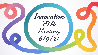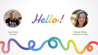





Claire Peters Principal

 $\overline{\phantom{a}}$ 

Melinda Phillips Assistant Principal

2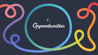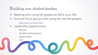# Building our student leaders

- Meeting with rising 5th graders at ASFS, June 15th
- Summer focus groups with rising 4th and 5th graders
	- [Sign up for a time here](https://docs.google.com/forms/d/e/1FAIpQLSdIoJSEQRxYnGLzV9dGMQ_0sAvjONwXnoPeq-p75LJQNh3dVQ/viewform?usp=sf_link)
- Leadership opportunities
	- Patrols

○ SCA

- Student ambassadors
- Equity Team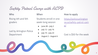Safety Patrol Camp with ACPD

#### Who

Rising 4th and 5th graders

Led by Arlington Police Department

#### When

Students enroll in one week-long session

- June  $28$  July 2
- July 12 July 16
- July 19 July 23
- August 2 August 6

### How to apply

[https://police.arlington](https://police.arlingtonva.us/safety-patrol-camp/) [va.us/safety-patrol-cam](https://police.arlingtonva.us/safety-patrol-camp/) [p/](https://police.arlingtonva.us/safety-patrol-camp/)

Cost is \$50 for the week

5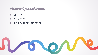Parent Opportunities

- Join the PTA!
- Volunteer
- Equity Team member

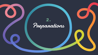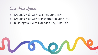Our New Space

- Grounds walk with facilities, June 11th
- Grounds walk with transportation, June 16th
- Building walk with Extended Day, June 11th

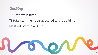Staffing

## 75% of staff is hired!

# 72 total staff members allocated to the building Most will start in August

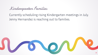Kindergarten Families

# Currently scheduling rising Kindergarten meetings in July. Jenny Hernandez is reaching out to families.

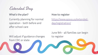Extended Day

What's the plan?

Currently planning for normal operation - both before and after school care

## How to register

[https://www.apsva.us/extended](https://www.apsva.us/extended-day/registration/)[day/registration/](https://www.apsva.us/extended-day/registration/)

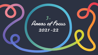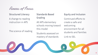

Structured Literacy

A change to reading instruction in APS

The science of reading

Standards Based Grading

All APS elementary schools moving toward this model

Students assessed on mastery of standards Equity and Inclusion Continued efforts to create a safe and welcoming environment for all students and families Link to SEL

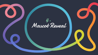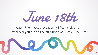# June 18th

## Watch the mascot reveal on MS Teams Live from wherever you are on the afternoon of Friday, June 18th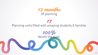

## 17 Planning units filled with amazing students & families

100% Worth the wait!